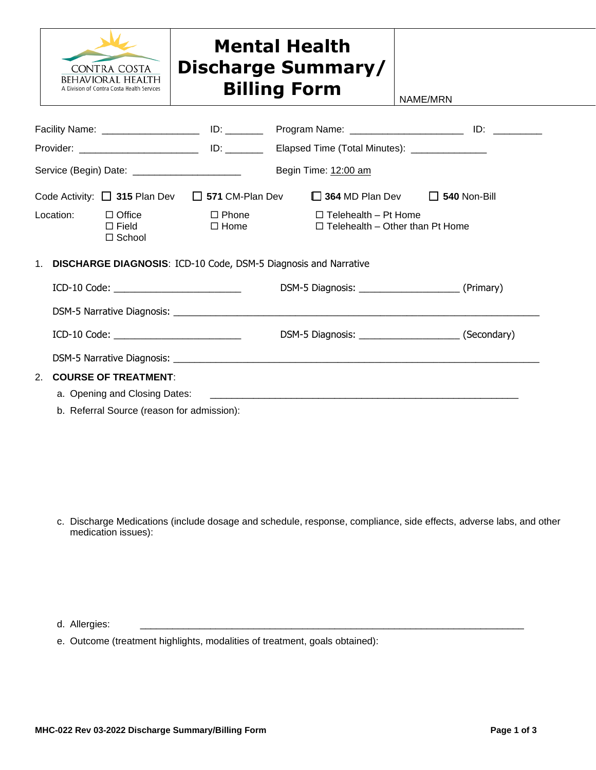

## **Mental Health Discharge Summary/ Billing Form**  $\Big|_{\text{NAME/MRN}}$

| Service (Begin) Date: _______________________                      |                                            |                                                          |  | Begin Time: 12:00 am                                                                                 |  |  |  |
|--------------------------------------------------------------------|--------------------------------------------|----------------------------------------------------------|--|------------------------------------------------------------------------------------------------------|--|--|--|
|                                                                    |                                            |                                                          |  | Code Activity: $\Box$ 315 Plan Dev $\Box$ 571 CM-Plan Dev $\Box$ 364 MD Plan Dev $\Box$ 540 Non-Bill |  |  |  |
|                                                                    |                                            | Location: $\Box$ Office<br>$\Box$ Field<br>$\Box$ School |  | $\Box$ Phone $\Box$ Telehealth – Pt Home<br>$\Box$ Home $\Box$ Telehealth – Other than Pt Home       |  |  |  |
| 1. DISCHARGE DIAGNOSIS: ICD-10 Code, DSM-5 Diagnosis and Narrative |                                            |                                                          |  |                                                                                                      |  |  |  |
|                                                                    |                                            |                                                          |  |                                                                                                      |  |  |  |
|                                                                    |                                            |                                                          |  |                                                                                                      |  |  |  |
|                                                                    |                                            | $ICD-10 Code:$                                           |  |                                                                                                      |  |  |  |
|                                                                    |                                            |                                                          |  |                                                                                                      |  |  |  |
| 2.                                                                 | <b>COURSE OF TREATMENT:</b>                |                                                          |  |                                                                                                      |  |  |  |
|                                                                    |                                            |                                                          |  |                                                                                                      |  |  |  |
|                                                                    | b. Referral Source (reason for admission): |                                                          |  |                                                                                                      |  |  |  |

c. Discharge Medications (include dosage and schedule, response, compliance, side effects, adverse labs, and other medication issues):

d. Allergies:

e. Outcome (treatment highlights, modalities of treatment, goals obtained):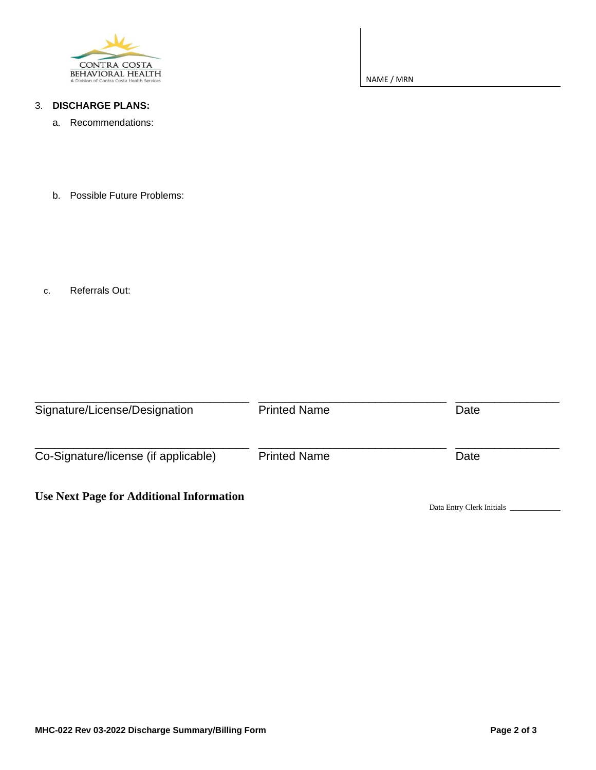

3. **DISCHARGE PLANS:**

a. Recommendations:

NAME / MRN

b. Possible Future Problems:

c. Referrals Out:

| Signature/License/Designation                   | <b>Printed Name</b> | Date                      |
|-------------------------------------------------|---------------------|---------------------------|
| Co-Signature/license (if applicable)            | <b>Printed Name</b> | Date                      |
| <b>Use Next Page for Additional Information</b> |                     | Data Entry Clerk Initials |